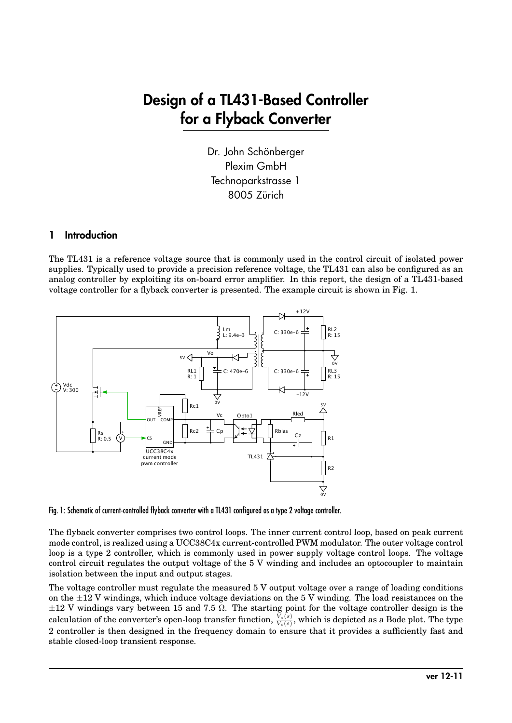## Design of a TL431-Based Controller for a Flyback Converter

Dr. John Schönberger Plexim GmbH Technoparkstrasse 1 8005 Zürich

## 1 Introduction

The TL431 is a reference voltage source that is commonly used in the control circuit of isolated power supplies. Typically used to provide a precision reference voltage, the TL431 can also be configured as an analog controller by exploiting its on-board error amplifier. In this report, the design of a TL431-based voltage controller for a flyback converter is presented. The example circuit is shown in Fig. 1.



Fig. 1: Schematic of current-controlled flyback converter with a TL431 configured as a type 2 voltage controller.

The flyback converter comprises two control loops. The inner current control loop, based on peak current mode control, is realized using a UCC38C4x current-controlled PWM modulator. The outer voltage control loop is a type 2 controller, which is commonly used in power supply voltage control loops. The voltage control circuit regulates the output voltage of the 5 V winding and includes an optocoupler to maintain isolation between the input and output stages.

The voltage controller must regulate the measured 5 V output voltage over a range of loading conditions on the  $\pm 12$  V windings, which induce voltage deviations on the 5 V winding. The load resistances on the  $\pm 12$  V windings vary between 15 and 7.5  $\Omega$ . The starting point for the voltage controller design is the calculation of the converter's open-loop transfer function,  $\frac{V_o(s)}{V_c(s)}$ , which is depicted as a Bode plot. The type 2 controller is then designed in the frequency domain to ensure that it provides a sufficiently fast and stable closed-loop transient response.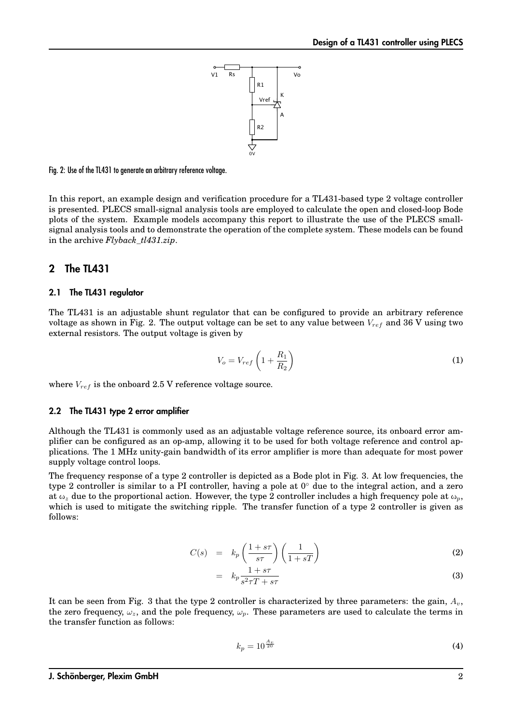

#### Fig. 2: Use of the TL431 to generate an arbitrary reference voltage.

In this report, an example design and verification procedure for a TL431-based type 2 voltage controller is presented. PLECS small-signal analysis tools are employed to calculate the open and closed-loop Bode plots of the system. Example models accompany this report to illustrate the use of the PLECS smallsignal analysis tools and to demonstrate the operation of the complete system. These models can be found in the archive *Flyback\_tl431.zip*.

#### 2 The TL431

#### 2.1 The TL431 regulator

The TL431 is an adjustable shunt regulator that can be configured to provide an arbitrary reference voltage as shown in Fig. 2. The output voltage can be set to any value between V*ref* and 36 V using two external resistors. The output voltage is given by

$$
V_o = V_{ref} \left( 1 + \frac{R_1}{R_2} \right) \tag{1}
$$

where  $V_{ref}$  is the onboard 2.5 V reference voltage source.

#### 2.2 The TL431 type 2 error amplifier

Although the TL431 is commonly used as an adjustable voltage reference source, its onboard error amplifier can be configured as an op-amp, allowing it to be used for both voltage reference and control applications. The 1 MHz unity-gain bandwidth of its error amplifier is more than adequate for most power supply voltage control loops.

The frequency response of a type 2 controller is depicted as a Bode plot in Fig. 3. At low frequencies, the type 2 controller is similar to a PI controller, having a pole at  $0<sup>°</sup>$  due to the integral action, and a zero at  $\omega_z$  due to the proportional action. However, the type 2 controller includes a high frequency pole at  $\omega_p$ , which is used to mitigate the switching ripple. The transfer function of a type 2 controller is given as follows:

$$
C(s) = k_p \left(\frac{1+s\tau}{s\tau}\right) \left(\frac{1}{1+sT}\right)
$$
 (2)

$$
= k_p \frac{1+s\tau}{s^2 \tau T + s\tau} \tag{3}
$$

It can be seen from Fig. 3 that the type 2 controller is characterized by three parameters: the gain,  $A_v$ , the zero frequency,  $\omega_z$ , and the pole frequency,  $\omega_p$ . These parameters are used to calculate the terms in the transfer function as follows:

$$
k_p = 10^{\frac{A_v}{20}}\tag{4}
$$

#### J. Schönberger, Plexim GmbH 2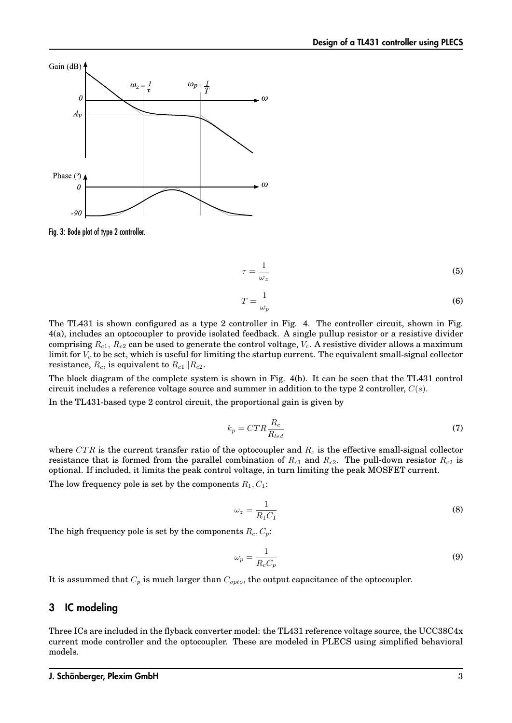

Fig. 3: Bode plot of type 2 controller.

$$
\tau = \frac{1}{\omega_z} \tag{5}
$$

$$
T = \frac{1}{\omega_p} \tag{6}
$$

The TL431 is shown configured as a type 2 controller in Fig. 4. The controller circuit, shown in Fig. 4(a), includes an optocoupler to provide isolated feedback. A single pullup resistor or a resistive divider comprising R*c*1, R*c*<sup>2</sup> can be used to generate the control voltage, V*c*. A resistive divider allows a maximum limit for V*<sup>c</sup>* to be set, which is useful for limiting the startup current. The equivalent small-signal collector resistance,  $R_c$ , is equivalent to  $R_{c1}$ || $R_{c2}$ .

The block diagram of the complete system is shown in Fig. 4(b). It can be seen that the TL431 control circuit includes a reference voltage source and summer in addition to the type 2 controller,  $C(s)$ .

In the TL431-based type 2 control circuit, the proportional gain is given by

$$
k_p = CTR \frac{R_c}{R_{led}} \tag{7}
$$

where CTR is the current transfer ratio of the optocoupler and  $R_c$  is the effective small-signal collector resistance that is formed from the parallel combination of  $R_{c1}$  and  $R_{c2}$ . The pull-down resistor  $R_{c2}$  is optional. If included, it limits the peak control voltage, in turn limiting the peak MOSFET current. The low frequency pole is set by the components  $R_1, C_1$ :

$$
\omega_z = \frac{1}{R_1 C_1} \tag{8}
$$

The high frequency pole is set by the components  $R_c, C_p$ :

$$
\omega_p = \frac{1}{R_c C_p} \tag{9}
$$

It is assummed that C*<sup>p</sup>* is much larger than C*opto*, the output capacitance of the optocoupler.

## 3 IC modeling

Three ICs are included in the flyback converter model: the TL431 reference voltage source, the UCC38C4x current mode controller and the optocoupler. These are modeled in PLECS using simplified behavioral models.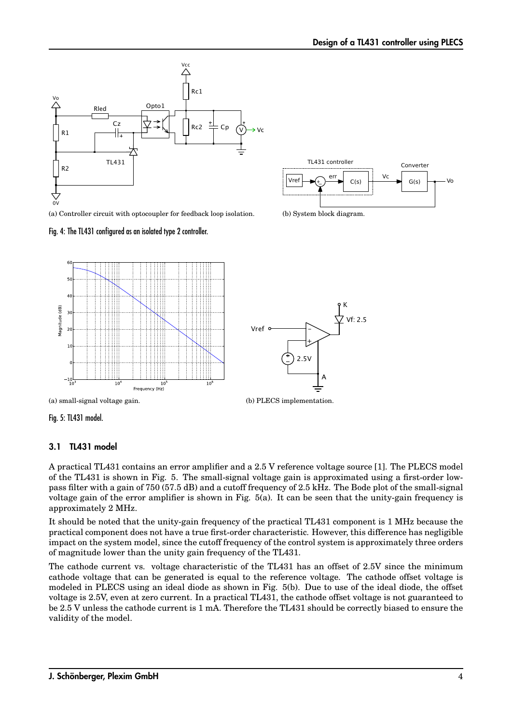![](_page_3_Figure_1.jpeg)

(a) Controller circuit with optocoupler for feedback loop isolation.

![](_page_3_Figure_3.jpeg)

![](_page_3_Figure_4.jpeg)

(b) System block diagram.

![](_page_3_Figure_6.jpeg)

![](_page_3_Figure_7.jpeg)

(b) PLECS implementation.

(a) small-signal voltage gain.

Fig. 5: TL431 model.

#### 3.1 TL431 model

A practical TL431 contains an error amplifier and a 2.5 V reference voltage source [1]. The PLECS model of the TL431 is shown in Fig. 5. The small-signal voltage gain is approximated using a first-order lowpass filter with a gain of 750 (57.5 dB) and a cutoff frequency of 2.5 kHz. The Bode plot of the small-signal voltage gain of the error amplifier is shown in Fig. 5(a). It can be seen that the unity-gain frequency is approximately 2 MHz.

It should be noted that the unity-gain frequency of the practical TL431 component is 1 MHz because the practical component does not have a true first-order characteristic. However, this difference has negligible impact on the system model, since the cutoff frequency of the control system is approximately three orders of magnitude lower than the unity gain frequency of the TL431.

The cathode current vs. voltage characteristic of the TL431 has an offset of 2.5V since the minimum cathode voltage that can be generated is equal to the reference voltage. The cathode offset voltage is modeled in PLECS using an ideal diode as shown in Fig. 5(b). Due to use of the ideal diode, the offset voltage is 2.5V, even at zero current. In a practical TL431, the cathode offset voltage is not guaranteed to be 2.5 V unless the cathode current is 1 mA. Therefore the TL431 should be correctly biased to ensure the validity of the model.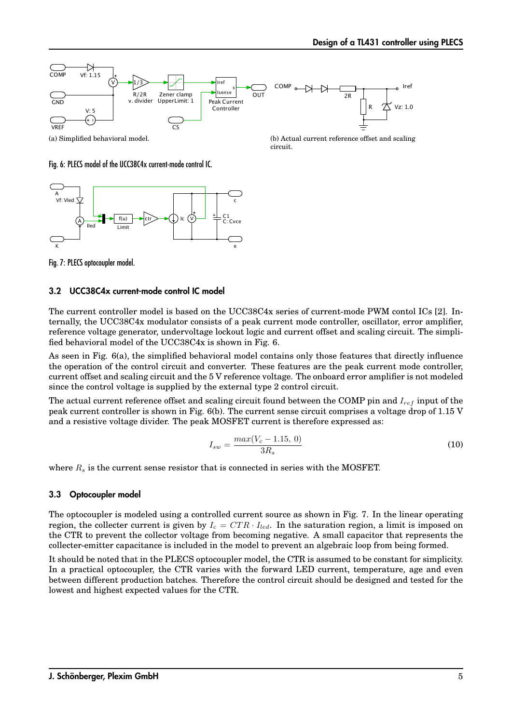![](_page_4_Figure_1.jpeg)

(b) Actual current reference offset and scaling circuit.

Fig. 6: PLECS model of the UCC38C4x current-mode control IC.

![](_page_4_Figure_4.jpeg)

Fig. 7: PLECS optocoupler model.

#### 3.2 UCC38C4x current-mode control IC model

The current controller model is based on the UCC38C4x series of current-mode PWM contol ICs [2]. Internally, the UCC38C4x modulator consists of a peak current mode controller, oscillator, error amplifier, reference voltage generator, undervoltage lockout logic and current offset and scaling circuit. The simplified behavioral model of the UCC38C4x is shown in Fig. 6.

As seen in Fig. 6(a), the simplified behavioral model contains only those features that directly influence the operation of the control circuit and converter. These features are the peak current mode controller, current offset and scaling circuit and the 5 V reference voltage. The onboard error amplifier is not modeled since the control voltage is supplied by the external type 2 control circuit.

The actual current reference offset and scaling circuit found between the COMP pin and I*ref* input of the peak current controller is shown in Fig. 6(b). The current sense circuit comprises a voltage drop of 1.15 V and a resistive voltage divider. The peak MOSFET current is therefore expressed as:

$$
I_{sw} = \frac{max(V_c - 1.15, 0)}{3R_s}
$$
\n(10)

where R*<sup>s</sup>* is the current sense resistor that is connected in series with the MOSFET.

#### 3.3 Optocoupler model

The optocoupler is modeled using a controlled current source as shown in Fig. 7. In the linear operating region, the collecter current is given by  $I_c = CTR \cdot I_{led}$ . In the saturation region, a limit is imposed on the CTR to prevent the collector voltage from becoming negative. A small capacitor that represents the collecter-emitter capacitance is included in the model to prevent an algebraic loop from being formed.

It should be noted that in the PLECS optocoupler model, the CTR is assumed to be constant for simplicity. In a practical optocoupler, the CTR varies with the forward LED current, temperature, age and even between different production batches. Therefore the control circuit should be designed and tested for the lowest and highest expected values for the CTR.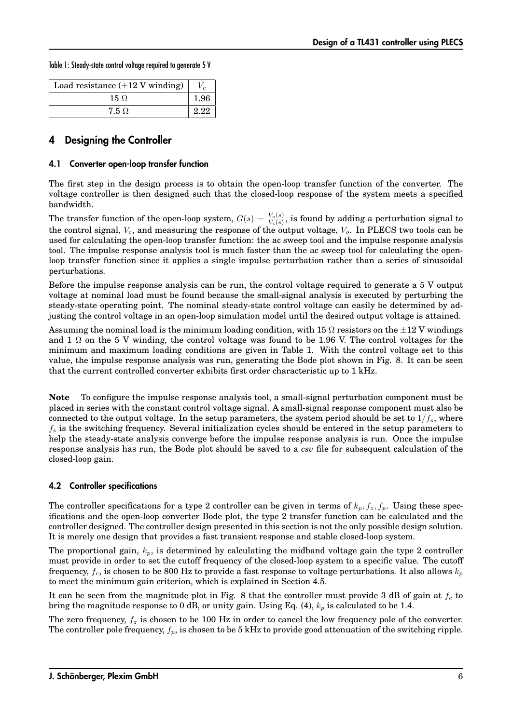Table 1: Steady-state control voltage required to generate 5 V

| Load resistance $(\pm 12 \text{ V winding})$ |      |
|----------------------------------------------|------|
| $15 \Omega$                                  | 1.96 |
| 7.5 Q                                        | 2.22 |

## 4 Designing the Controller

#### 4.1 Converter open-loop transfer function

The first step in the design process is to obtain the open-loop transfer function of the converter. The voltage controller is then designed such that the closed-loop response of the system meets a specified bandwidth.

The transfer function of the open-loop system,  $G(s) = \frac{V_o(s)}{V_c(s)}$ , is found by adding a perturbation signal to the control signal, V*c*, and measuring the response of the output voltage, V*o*. In PLECS two tools can be used for calculating the open-loop transfer function: the ac sweep tool and the impulse response analysis tool. The impulse response analysis tool is much faster than the ac sweep tool for calculating the openloop transfer function since it applies a single impulse perturbation rather than a series of sinusoidal perturbations.

Before the impulse response analysis can be run, the control voltage required to generate a 5 V output voltage at nominal load must be found because the small-signal analysis is executed by perturbing the steady-state operating point. The nominal steady-state control voltage can easily be determined by adjusting the control voltage in an open-loop simulation model until the desired output voltage is attained.

Assuming the nominal load is the minimum loading condition, with 15  $\Omega$  resistors on the  $\pm 12$  V windings and 1  $\Omega$  on the 5 V winding, the control voltage was found to be 1.96 V. The control voltages for the minimum and maximum loading conditions are given in Table 1. With the control voltage set to this value, the impulse response analysis was run, generating the Bode plot shown in Fig. 8. It can be seen that the current controlled converter exhibits first order characteristic up to 1 kHz.

**Note** To configure the impulse response analysis tool, a small-signal perturbation component must be placed in series with the constant control voltage signal. A small-signal response component must also be connected to the output voltage. In the setup parameters, the system period should be set to  $1/f_s$ , where f*<sup>s</sup>* is the switching frequency. Several initialization cycles should be entered in the setup parameters to help the steady-state analysis converge before the impulse response analysis is run. Once the impulse response analysis has run, the Bode plot should be saved to a *csv* file for subsequent calculation of the closed-loop gain.

#### 4.2 Controller specifications

The controller specifications for a type 2 controller can be given in terms of  $k_p$ ,  $f_z$ ,  $f_p$ . Using these specifications and the open-loop converter Bode plot, the type 2 transfer function can be calculated and the controller designed. The controller design presented in this section is not the only possible design solution. It is merely one design that provides a fast transient response and stable closed-loop system.

The proportional gain, k*p*, is determined by calculating the midband voltage gain the type 2 controller must provide in order to set the cutoff frequency of the closed-loop system to a specific value. The cutoff frequency, f*c*, is chosen to be 800 Hz to provide a fast response to voltage perturbations. It also allows k*<sup>p</sup>* to meet the minimum gain criterion, which is explained in Section 4.5.

It can be seen from the magnitude plot in Fig. 8 that the controller must provide 3 dB of gain at  $f_c$  to bring the magnitude response to 0 dB, or unity gain. Using Eq.  $(4)$ ,  $k_p$  is calculated to be 1.4.

The zero frequency,  $f_z$  is chosen to be 100 Hz in order to cancel the low frequency pole of the converter. The controller pole frequency, f*p*, is chosen to be 5 kHz to provide good attenuation of the switching ripple.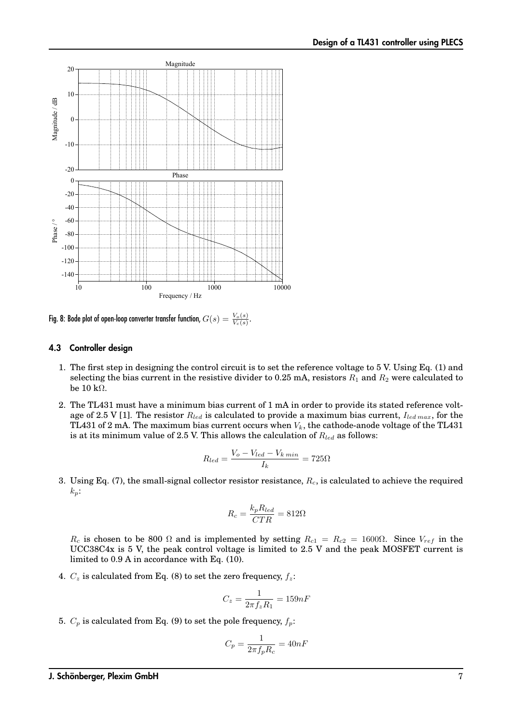![](_page_6_Figure_1.jpeg)

Fig. 8: Bode plot of open-loop converter transfer function,  $G(s) = \frac{V_o(s)}{V_c(s)}.$ 

#### 4.3 Controller design

- 1. The first step in designing the control circuit is to set the reference voltage to 5 V. Using Eq. (1) and selecting the bias current in the resistive divider to 0.25 mA, resistors  $R_1$  and  $R_2$  were calculated to be 10 kΩ.
- 2. The TL431 must have a minimum bias current of 1 mA in order to provide its stated reference voltage of 2.5 V [1]. The resistor  $R_{led}$  is calculated to provide a maximum bias current,  $I_{led}$ <sub>max</sub>, for the TL431 of 2 mA. The maximum bias current occurs when V*k*, the cathode-anode voltage of the TL431 is at its minimum value of 2.5 V. This allows the calculation of R*led* as follows:

$$
R_{led} = \frac{V_o - V_{led} - V_{k \ min}}{I_k} = 725\Omega
$$

3. Using Eq. (7), the small-signal collector resistor resistance, R*c*, is calculated to achieve the required k*p*:

$$
R_c = \frac{k_p R_{led}}{CTR} = 812 \Omega
$$

 $R_c$  is chosen to be 800  $\Omega$  and is implemented by setting  $R_{c1} = R_{c2} = 1600\Omega$ . Since  $V_{ref}$  in the UCC38C4x is 5 V, the peak control voltage is limited to 2.5 V and the peak MOSFET current is limited to 0.9 A in accordance with Eq. (10).

4.  $C_z$  is calculated from Eq. (8) to set the zero frequency,  $f_z$ :

$$
C_z = \frac{1}{2\pi f_z R_1} = 159nF
$$

5.  $C_p$  is calculated from Eq. (9) to set the pole frequency,  $f_p$ :

$$
C_p = \frac{1}{2\pi f_p R_c} = 40nF
$$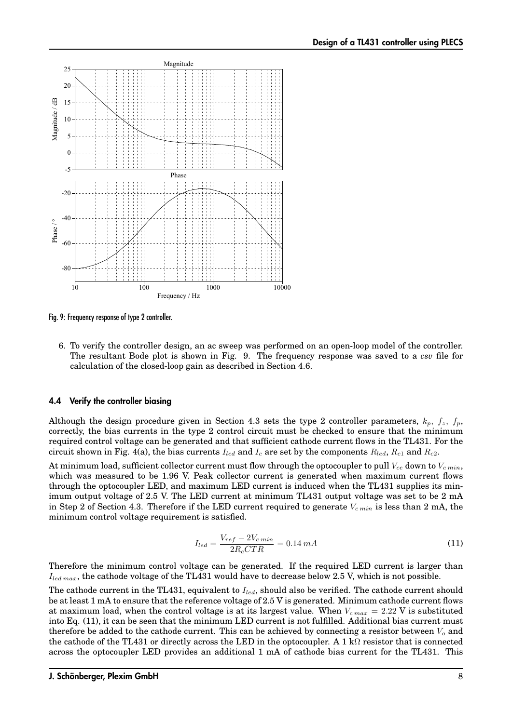![](_page_7_Figure_1.jpeg)

Fig. 9: Frequency response of type 2 controller.

6. To verify the controller design, an ac sweep was performed on an open-loop model of the controller. The resultant Bode plot is shown in Fig. 9. The frequency response was saved to a *csv* file for calculation of the closed-loop gain as described in Section 4.6.

#### 4.4 Verify the controller biasing

Although the design procedure given in Section 4.3 sets the type 2 controller parameters,  $k_p$ ,  $f_z$ ,  $f_p$ , correctly, the bias currents in the type 2 control circuit must be checked to ensure that the minimum required control voltage can be generated and that sufficient cathode current flows in the TL431. For the circuit shown in Fig. 4(a), the bias currents I*led* and I*<sup>c</sup>* are set by the components R*led*, R*c*<sup>1</sup> and R*c*2.

At minimum load, sufficient collector current must flow through the optocoupler to pull V*ce* down to V*c min*, which was measured to be 1.96 V. Peak collector current is generated when maximum current flows through the optocoupler LED, and maximum LED current is induced when the TL431 supplies its minimum output voltage of 2.5 V. The LED current at minimum TL431 output voltage was set to be 2 mA in Step 2 of Section 4.3. Therefore if the LED current required to generate V*c min* is less than 2 mA, the minimum control voltage requirement is satisfied.

$$
I_{led} = \frac{V_{ref} - 2V_{c\,min}}{2R_c CTR} = 0.14 \, mA \tag{11}
$$

Therefore the minimum control voltage can be generated. If the required LED current is larger than I*led max*, the cathode voltage of the TL431 would have to decrease below 2.5 V, which is not possible.

The cathode current in the TL431, equivalent to I*led*, should also be verified. The cathode current should be at least 1 mA to ensure that the reference voltage of 2.5 V is generated. Minimum cathode current flows at maximum load, when the control voltage is at its largest value. When  $V_{c \, max} = 2.22$  V is substituted into Eq. (11), it can be seen that the minimum LED current is not fulfilled. Additional bias current must therefore be added to the cathode current. This can be achieved by connecting a resistor between V*<sup>o</sup>* and the cathode of the TL431 or directly across the LED in the optocoupler. A 1 kΩ resistor that is connected across the optocoupler LED provides an additional 1 mA of cathode bias current for the TL431. This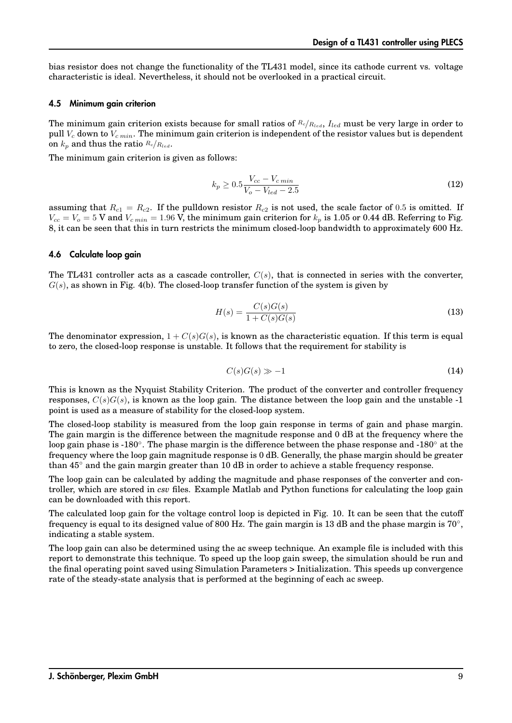bias resistor does not change the functionality of the TL431 model, since its cathode current vs. voltage characteristic is ideal. Nevertheless, it should not be overlooked in a practical circuit.

#### 4.5 Minimum gain criterion

The minimum gain criterion exists because for small ratios of *<sup>R</sup>c*/*Rled*, I*led* must be very large in order to pull V*<sup>c</sup>* down to V*c min*. The minimum gain criterion is independent of the resistor values but is dependent on  $k_p$  and thus the ratio  $R_c/R_{led}$ .

The minimum gain criterion is given as follows:

$$
k_p \ge 0.5 \frac{V_{cc} - V_{c\ min}}{V_o - V_{led} - 2.5}
$$
\n(12)

assuming that  $R_{c1} = R_{c2}$ . If the pulldown resistor  $R_{c2}$  is not used, the scale factor of 0.5 is omitted. If  $V_{cc} = V_o = 5$  V and  $V_{c,min} = 1.96$  V, the minimum gain criterion for  $k_p$  is 1.05 or 0.44 dB. Referring to Fig. 8, it can be seen that this in turn restricts the minimum closed-loop bandwidth to approximately 600 Hz.

#### 4.6 Calculate loop gain

The TL431 controller acts as a cascade controller,  $C(s)$ , that is connected in series with the converter,  $G(s)$ , as shown in Fig. 4(b). The closed-loop transfer function of the system is given by

$$
H(s) = \frac{C(s)G(s)}{1 + C(s)G(s)}
$$
\n(13)

The denominator expression,  $1 + C(s)G(s)$ , is known as the characteristic equation. If this term is equal to zero, the closed-loop response is unstable. It follows that the requirement for stability is

$$
C(s)G(s) \gg -1 \tag{14}
$$

This is known as the Nyquist Stability Criterion. The product of the converter and controller frequency responses,  $C(s)G(s)$ , is known as the loop gain. The distance between the loop gain and the unstable -1 point is used as a measure of stability for the closed-loop system.

The closed-loop stability is measured from the loop gain response in terms of gain and phase margin. The gain margin is the difference between the magnitude response and 0 dB at the frequency where the loop gain phase is -180◦. The phase margin is the difference between the phase response and -180◦ at the frequency where the loop gain magnitude response is 0 dB. Generally, the phase margin should be greater than 45◦ and the gain margin greater than 10 dB in order to achieve a stable frequency response.

The loop gain can be calculated by adding the magnitude and phase responses of the converter and controller, which are stored in *csv* files. Example Matlab and Python functions for calculating the loop gain can be downloaded with this report.

The calculated loop gain for the voltage control loop is depicted in Fig. 10. It can be seen that the cutoff frequency is equal to its designed value of 800 Hz. The gain margin is 13 dB and the phase margin is  $70°$ , indicating a stable system.

The loop gain can also be determined using the ac sweep technique. An example file is included with this report to demonstrate this technique. To speed up the loop gain sweep, the simulation should be run and the final operating point saved using Simulation Parameters > Initialization. This speeds up convergence rate of the steady-state analysis that is performed at the beginning of each ac sweep.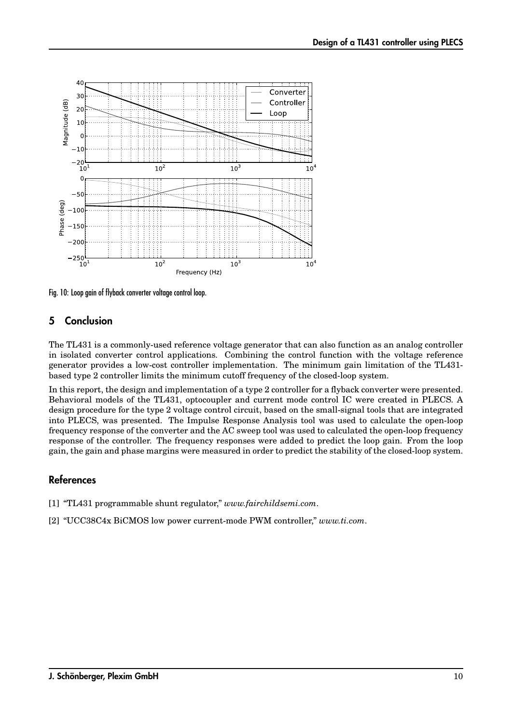![](_page_9_Figure_1.jpeg)

Fig. 10: Loop gain of flyback converter voltage control loop.

## 5 Conclusion

The TL431 is a commonly-used reference voltage generator that can also function as an analog controller in isolated converter control applications. Combining the control function with the voltage reference generator provides a low-cost controller implementation. The minimum gain limitation of the TL431 based type 2 controller limits the minimum cutoff frequency of the closed-loop system.

In this report, the design and implementation of a type 2 controller for a flyback converter were presented. Behavioral models of the TL431, optocoupler and current mode control IC were created in PLECS. A design procedure for the type 2 voltage control circuit, based on the small-signal tools that are integrated into PLECS, was presented. The Impulse Response Analysis tool was used to calculate the open-loop frequency response of the converter and the AC sweep tool was used to calculated the open-loop frequency response of the controller. The frequency responses were added to predict the loop gain. From the loop gain, the gain and phase margins were measured in order to predict the stability of the closed-loop system.

## References

- [1] "TL431 programmable shunt regulator," *www.fairchildsemi.com*.
- [2] "UCC38C4x BiCMOS low power current-mode PWM controller," *www.ti.com*.